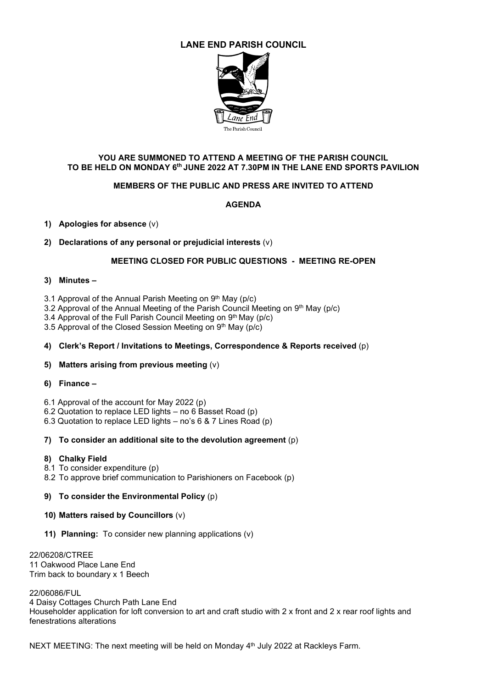# **LANE END PARISH COUNCIL**



# **YOU ARE SUMMONED TO ATTEND A MEETING OF THE PARISH COUNCIL TO BE HELD ON MONDAY 6th JUNE 2022 AT 7.30PM IN THE LANE END SPORTS PAVILION**

# **MEMBERS OF THE PUBLIC AND PRESS ARE INVITED TO ATTEND**

# **AGENDA**

# **1) Apologies for absence** (v)

# **2) Declarations of any personal or prejudicial interests** (v)

# **MEETING CLOSED FOR PUBLIC QUESTIONS - MEETING RE-OPEN**

#### **3) Minutes –**

3.1 Approval of the Annual Parish Meeting on 9th May (p/c)

3.2 Approval of the Annual Meeting of the Parish Council Meeting on 9th May (p/c)

3.4 Approval of the Full Parish Council Meeting on 9th May (p/c)

3.5 Approval of the Closed Session Meeting on 9th May (p/c)

#### **4) Clerk's Report / Invitations to Meetings, Correspondence & Reports received** (p)

#### **5) Matters arising from previous meeting** (v)

#### **6) Finance –**

6.1 Approval of the account for May 2022 (p)

6.2 Quotation to replace LED lights – no 6 Basset Road (p)

6.3 Quotation to replace LED lights – no's 6 & 7 Lines Road (p)

#### **7) To consider an additional site to the devolution agreement** (p)

#### **8) Chalky Field**

8.1 To consider expenditure (p)

8.2 To approve brief communication to Parishioners on Facebook (p)

# **9) To consider the Environmental Policy** (p)

#### **10) Matters raised by Councillors** (v)

**11) Planning:** To consider new planning applications (v)

22/06208/CTREE 11 Oakwood Place Lane End [Trim back to boundary x 1 Beech](https://publicaccess.wycombe.gov.uk/idoxpa-web/applicationDetails.do?keyVal=RBCFFHSCHEL00&activeTab=summary)

22/06086/FUL 4 Daisy Cottages Church Path Lane End Householder application for loft conversion to art and craft studio with 2 x front and 2 x rear roof lights and [fenestrations alterations](https://publicaccess.wycombe.gov.uk/idoxpa-web/applicationDetails.do?keyVal=RAMI1ZSCH2T00&activeTab=summary)

NEXT MEETING: The next meeting will be held on Monday  $4<sup>th</sup>$  July 2022 at Rackleys Farm.